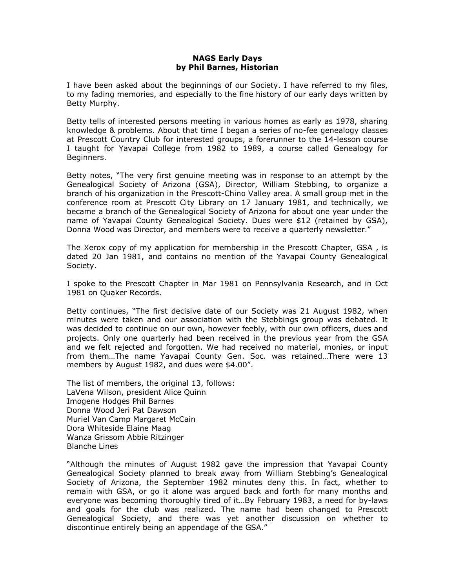## NAGS Early Days by Phil Barnes, Historian

I have been asked about the beginnings of our Society. I have referred to my files, to my fading memories, and especially to the fine history of our early days written by Betty Murphy.

Betty tells of interested persons meeting in various homes as early as 1978, sharing knowledge & problems. About that time I began a series of no-fee genealogy classes at Prescott Country Club for interested groups, a forerunner to the 14-lesson course I taught for Yavapai College from 1982 to 1989, a course called Genealogy for Beginners.

Betty notes, "The very first genuine meeting was in response to an attempt by the Genealogical Society of Arizona (GSA), Director, William Stebbing, to organize a branch of his organization in the Prescott-Chino Valley area. A small group met in the conference room at Prescott City Library on 17 January 1981, and technically, we became a branch of the Genealogical Society of Arizona for about one year under the name of Yavapai County Genealogical Society. Dues were \$12 (retained by GSA), Donna Wood was Director, and members were to receive a quarterly newsletter."

The Xerox copy of my application for membership in the Prescott Chapter, GSA , is dated 20 Jan 1981, and contains no mention of the Yavapai County Genealogical Society.

I spoke to the Prescott Chapter in Mar 1981 on Pennsylvania Research, and in Oct 1981 on Quaker Records.

Betty continues, "The first decisive date of our Society was 21 August 1982, when minutes were taken and our association with the Stebbings group was debated. It was decided to continue on our own, however feebly, with our own officers, dues and projects. Only one quarterly had been received in the previous year from the GSA and we felt rejected and forgotten. We had received no material, monies, or input from them…The name Yavapai County Gen. Soc. was retained…There were 13 members by August 1982, and dues were \$4.00".

The list of members, the original 13, follows: LaVena Wilson, president Alice Quinn Imogene Hodges Phil Barnes Donna Wood Jeri Pat Dawson Muriel Van Camp Margaret McCain Dora Whiteside Elaine Maag Wanza Grissom Abbie Ritzinger Blanche Lines

"Although the minutes of August 1982 gave the impression that Yavapai County Genealogical Society planned to break away from William Stebbing's Genealogical Society of Arizona, the September 1982 minutes deny this. In fact, whether to remain with GSA, or go it alone was argued back and forth for many months and everyone was becoming thoroughly tired of it…By February 1983, a need for by-laws and goals for the club was realized. The name had been changed to Prescott Genealogical Society, and there was yet another discussion on whether to discontinue entirely being an appendage of the GSA."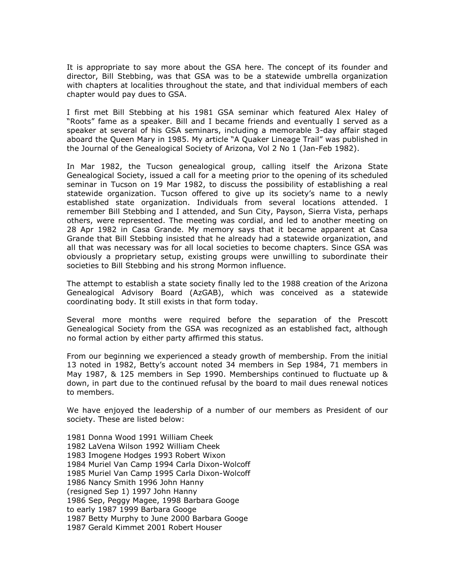It is appropriate to say more about the GSA here. The concept of its founder and director, Bill Stebbing, was that GSA was to be a statewide umbrella organization with chapters at localities throughout the state, and that individual members of each chapter would pay dues to GSA.

I first met Bill Stebbing at his 1981 GSA seminar which featured Alex Haley of "Roots" fame as a speaker. Bill and I became friends and eventually I served as a speaker at several of his GSA seminars, including a memorable 3-day affair staged aboard the Queen Mary in 1985. My article "A Quaker Lineage Trail" was published in the Journal of the Genealogical Society of Arizona, Vol 2 No 1 (Jan-Feb 1982).

In Mar 1982, the Tucson genealogical group, calling itself the Arizona State Genealogical Society, issued a call for a meeting prior to the opening of its scheduled seminar in Tucson on 19 Mar 1982, to discuss the possibility of establishing a real statewide organization. Tucson offered to give up its society's name to a newly established state organization. Individuals from several locations attended. I remember Bill Stebbing and I attended, and Sun City, Payson, Sierra Vista, perhaps others, were represented. The meeting was cordial, and led to another meeting on 28 Apr 1982 in Casa Grande. My memory says that it became apparent at Casa Grande that Bill Stebbing insisted that he already had a statewide organization, and all that was necessary was for all local societies to become chapters. Since GSA was obviously a proprietary setup, existing groups were unwilling to subordinate their societies to Bill Stebbing and his strong Mormon influence.

The attempt to establish a state society finally led to the 1988 creation of the Arizona Genealogical Advisory Board (AzGAB), which was conceived as a statewide coordinating body. It still exists in that form today.

Several more months were required before the separation of the Prescott Genealogical Society from the GSA was recognized as an established fact, although no formal action by either party affirmed this status.

From our beginning we experienced a steady growth of membership. From the initial 13 noted in 1982, Betty's account noted 34 members in Sep 1984, 71 members in May 1987, & 125 members in Sep 1990. Memberships continued to fluctuate up & down, in part due to the continued refusal by the board to mail dues renewal notices to members.

We have enjoyed the leadership of a number of our members as President of our society. These are listed below:

1981 Donna Wood 1991 William Cheek 1982 LaVena Wilson 1992 William Cheek 1983 Imogene Hodges 1993 Robert Wixon 1984 Muriel Van Camp 1994 Carla Dixon-Wolcoff 1985 Muriel Van Camp 1995 Carla Dixon-Wolcoff 1986 Nancy Smith 1996 John Hanny (resigned Sep 1) 1997 John Hanny 1986 Sep, Peggy Magee, 1998 Barbara Googe to early 1987 1999 Barbara Googe 1987 Betty Murphy to June 2000 Barbara Googe 1987 Gerald Kimmet 2001 Robert Houser